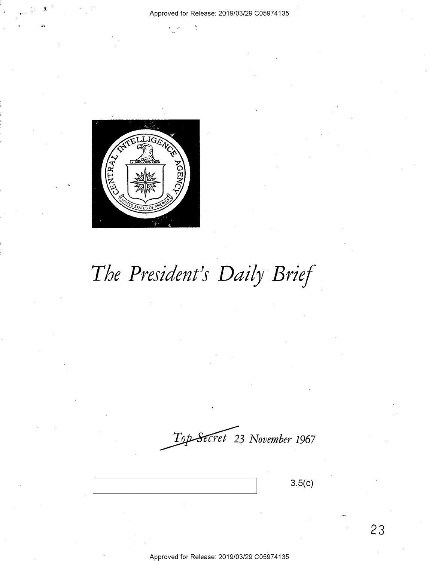

# *The President's Daily Brief*

*~3 November 1967* 

**3.5(c)** 

**23**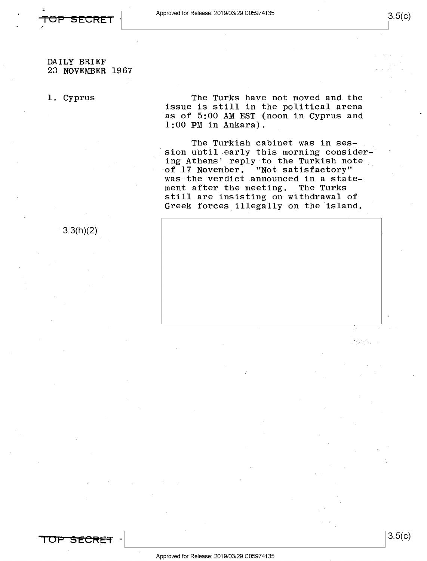

3.3(h)(2)

23 NOVEMBER 1967

DAILY BRIEF

### 1. Cyprus

The Turks have not moved and the issue is still in the political arena as of 5:00 AM EST (noon in Cyprus and 1:00 PM in Ankara).

The Turkish cabinet was in session uhtil early this morning considering Athens' reply to the Turkish note of 17 November. "Not satisfactory" was the verdict announced in a statement after the meeting. The Turks still are insisting on withdrawal of Greek forces illegally on the island.



3.5(c)

I **OP 51::CRET** -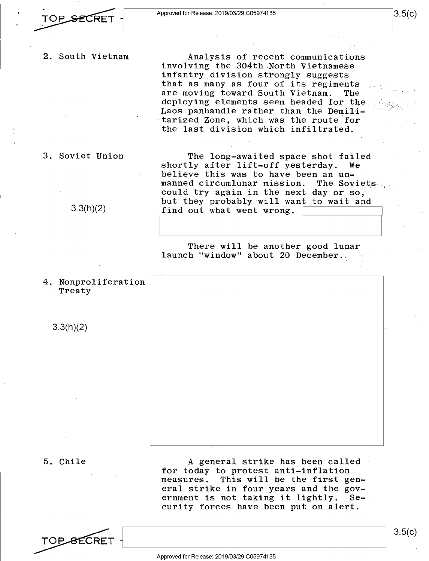2. South Vietnam

Analysis of recent communications involving the 304th North Vietnamese infantry division strongly suggests that as many as four of its regiments are moving toward South Vietnam. deploying elements seem headed for the Laos panhandle rather than the Demilitarized Zone, which was the route for the last division which infiltrated.

3. Soviet Union

3.3(h)(2)

Treaty

3.3(h)(2)

The long-awaited space shot failed<br>Iv after lift-off vesterday. We shortly after lift-off yesterday. believe this was to have been an **un**manned circumlunar mission. could try again in the next day or so, but they probably will want to wait and find out what went wrong.

I I

There will be another good lunar launch "window" about 20 December ..

4. Nonproliferation

5. Chile

A general strike has been called for today to protest anti-inflation measures. This will be the first general strike in four years and the gov-<br>ernment is not taking it lightly. Seernment is not taking it lightly. curity forces have been put on alert.

TOP SECRET -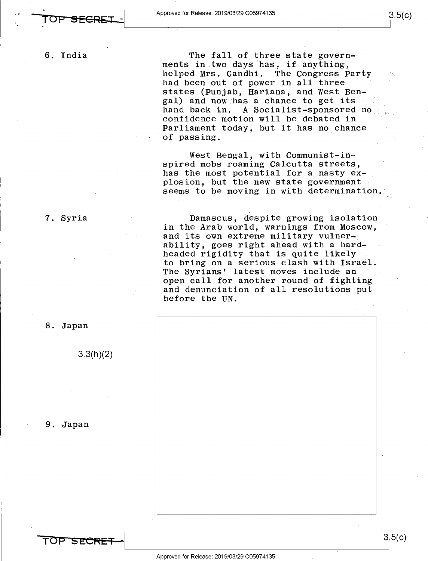6. India

The fall of three state governments in two days has, if anything, helped Mrs. Gandhi. The Congress Party had been out of power in all three states (Punjab, Hariana, and West Bengal) and now has a chance to get its hand back in. A Socialist-sponsored no confidence motion will be debated in Parliament today, but it has no chance of passing.

3.5(c)

West Bengal, with Communist-inspired mobs roaming Calcutta streets, has the most potential for a nasty explosion, but the new state government seems to be moving in with determination.

Damascus, despite growing isolation in the Arab world, warnings from Moscow, and its own extreme military vulnerability, goes right ahead with a hardheaded rigidity that is quite likely to bring on a serious clash with Israel. The Syrians' latest moves include an open call for another round of fighting and denunciation of all resolutions put before the UN.



8. Japan

7. Syria

3.3(h)(2)

9. Japan

**TOP SECRET** -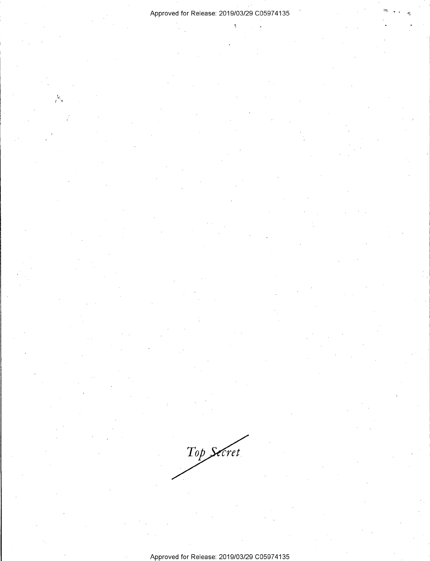$\ddot{\cdot}$ 

 $\ddot{\phantom{a}}$ 

 $\frac{1}{2}$ 

Approved for Release: 2019/03/29 C0597 4135

Top Secret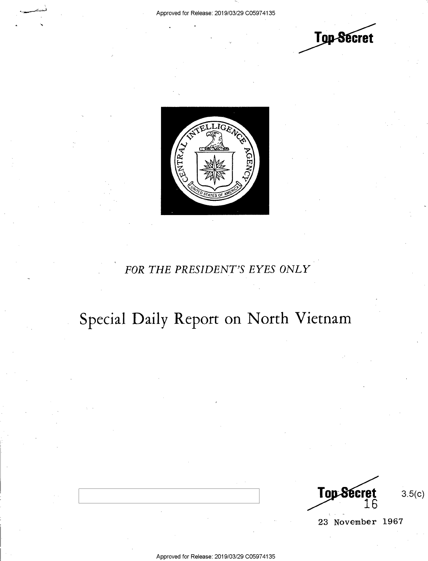



# *FOR THE PRESIDENT'S EYES ONLY*

# Special Daily Report on North Vietnam

Top Secret 16

3.5(c)

23 November 1967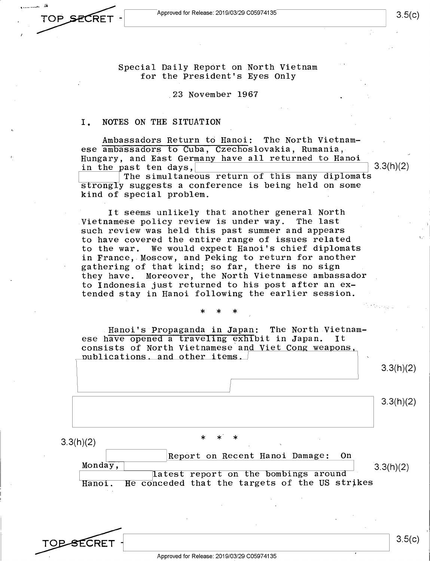TOP SECRET

Special Daily Report on North Vietnam for the President's Eyes Only

.23 November 1967

### I. NOTES ON THE SITUATION

Ambassadors Return to Hanoi: The North Vietnamese ambassadors to Cuba, Czechoslovakia, Rumania, Hungary, and East Germany have all returned to Hanoi<br>in the past ten days, hast ten days,  $\frac{1}{\pi}$  3.3(h)(2) The simultaneous return of this many diplomats

strongly suggests a conference is being held on some kind of special problem.

It seems unlikely that another general North<br>amese policy review is under way. The last Vietnamese policy review is under way. such review was held this past summer and appears to have covered the entire range of issues related to the war. We would expect Hanoi's chief diplomats in France, Moscow, and Peking to return for another gathering of that kind; so far, there is no sign they have. Moreover, the North Vietnamese ambassador to Indonesia just returned to his post after an extended stay in Hanoi following the earlier session.

\* \* \*

Hanoi's Propaganda in Japan: The North Vietnamese have opened a traveling exhibit in Japan. consists of North Vietnamese and Viet Cong weapons, publications, and other items.

3.3(h)(2)

3.5(c)

3.3(h)(2)

 $3.3(h)(2)$ 

Report on Recent Hanoi Damage: On Monday, latest report on the bombings around Hanoi. He conceded that the targets of the US strikes  $3.3(h)(2)$ 

**TOP SECRET** 

3.5(c)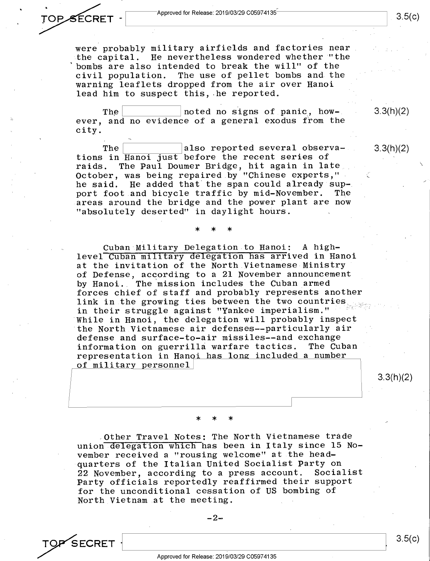were probably military airfields and factories near the capital. He nevertheless wondered whether "the bombs are also intended to break the will" of the civil population. The use of pellet bombs and the warning leaflets dropped from the air over Hanoi lead him to suspect this, he reported.

The noted no signs of panic, however, and no evidence of a general exodus from the city.

The  $|$  also reported several observations in Hanoi just before the recent series of raids. The Paul Doumer Bridge, hit again in late October, was being repaired by "Chinese experts," he said. He added that the span could already support foot and bicycle traffic by mid-November. The areas around the bridge and the power plant are now "absolutely deserted" in daylight hours.

\* \* \*

Cuban Military Delegation to Hanoi: A highlevel Cuban military delegation has arrived in Hanoi at the invitation of the North Vietnamese Ministry of Defense, according to a 21 November announcement by Hanoi. The mission includes the Cuban armed forces chief of staff and probably represents another link in the growing ties between the two countries in their struggle against "Yankee imperialism." While in Hanoi, the delegation will probably inspect the North Vietnamese air defenses--particularly air defense and surface-to-air missiles--and exchange information on guerrilla warfare tactics. The Cuban representation in Hanoi has long included a number of military personnel

\* \* \*

Other Travel Notes: The North Vietnamese trade union delegation which has been in Italy since 15 November received a "rousing welcome" at the headquarters of the Italian United Socialist Party on 22 November, according to a press account. Party officials reportedly reaffirmed their suppor<sup>t</sup> for the unconditional cessation of US bombing of North Vietnam at the meeting.



*;.r\* <sup>0</sup>

3.5(c)

3.3(h)(2)

3.3(h)(2)

3.3(h)(2)

 $\checkmark$ 

3.5(c)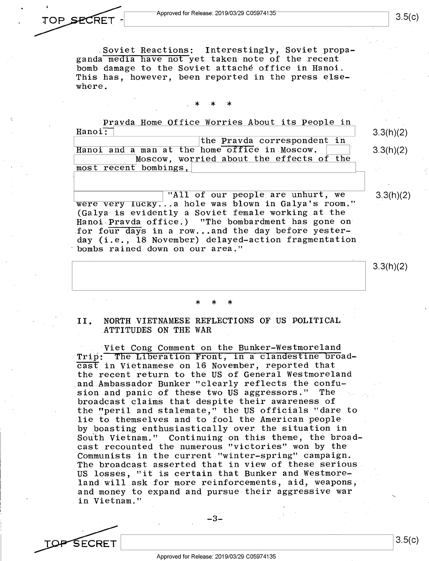TOP SECRET

SECRET

.Soviet Reactions: Interestingly, Soviet propaganda media have not yet taken note of the recent bomb damage to the Soviet attache office in Hanoi. This has, however, been reported in the press elsewhere.

# . \* \* \*

Pravda Home Office Worries About its People in Hanoi: the Pravda correspondent in Hanoi and a man at the home office in Moscow. Moscow, worried about the effects of the  $most$  recent bombings,

"All of our people are unhurt, we were very lucky...a hole was blown in Galya's room." (Galya is evidently a Soviet female working at the Hanoi-Pravda office.) "The bombardment has gone on for four days in a row...and the day before yesterday (i.e., 18 November) delayed-action fragmentation bombs rained down on our area."

3.3(h)(2)

3.3(h)(2)

3.3(h)(2)

 $3.3(h)(2)$ 

# \* \* \*

II. NORTH VIETNAMESE REFLECTIONS OF US POLITICAL ATTITUDES ON THE WAR

Viet Cong Comment on the Bunker-Westmoreland Trip: The Liberation Front, in a clandestine broadcast in Vietnamese on 16 November, reported that the recent return to the US of General Westmoreland and Ambassador Bunker "clearly reflects the confusion and panic of these two US aggressors." The broadcast claims that despite their awareness of the "peril and stalemate," the US officials "dare to lie to themselves and to fool the American people by boasting enthusiastically over the situation in Sou'th Vietnam." Continuing on this theme, the broadcast recounted the numerous "victories" won by the Communists in the current "winter-spring" campaign. The broadcast asserted that in view of these serious US losses, "it is certain that Bunker and Westmoreland will ask for more reinforcements, aid, weapons, and money to expand and pursue their aggressive war in Vietnam."

-3-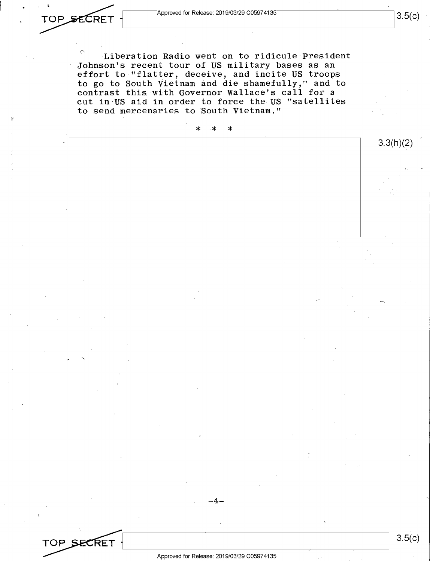$3.5(c)$ 

TOP SECRET

 $\degree$  Liberation Radio went on to ridicule President Johnson's recent tour of US military bases as an effort to "flatter, deceive, and incite US troops to go to South Vietnam and die shamefully," and to contrast this with Governor Wallace's call for a cut in US aid in order to force the US "satellites to send mercenaries to South Vietnam."

\* \* \* 3.3(h)(2) -4- 3.5(c) TOP SECRET